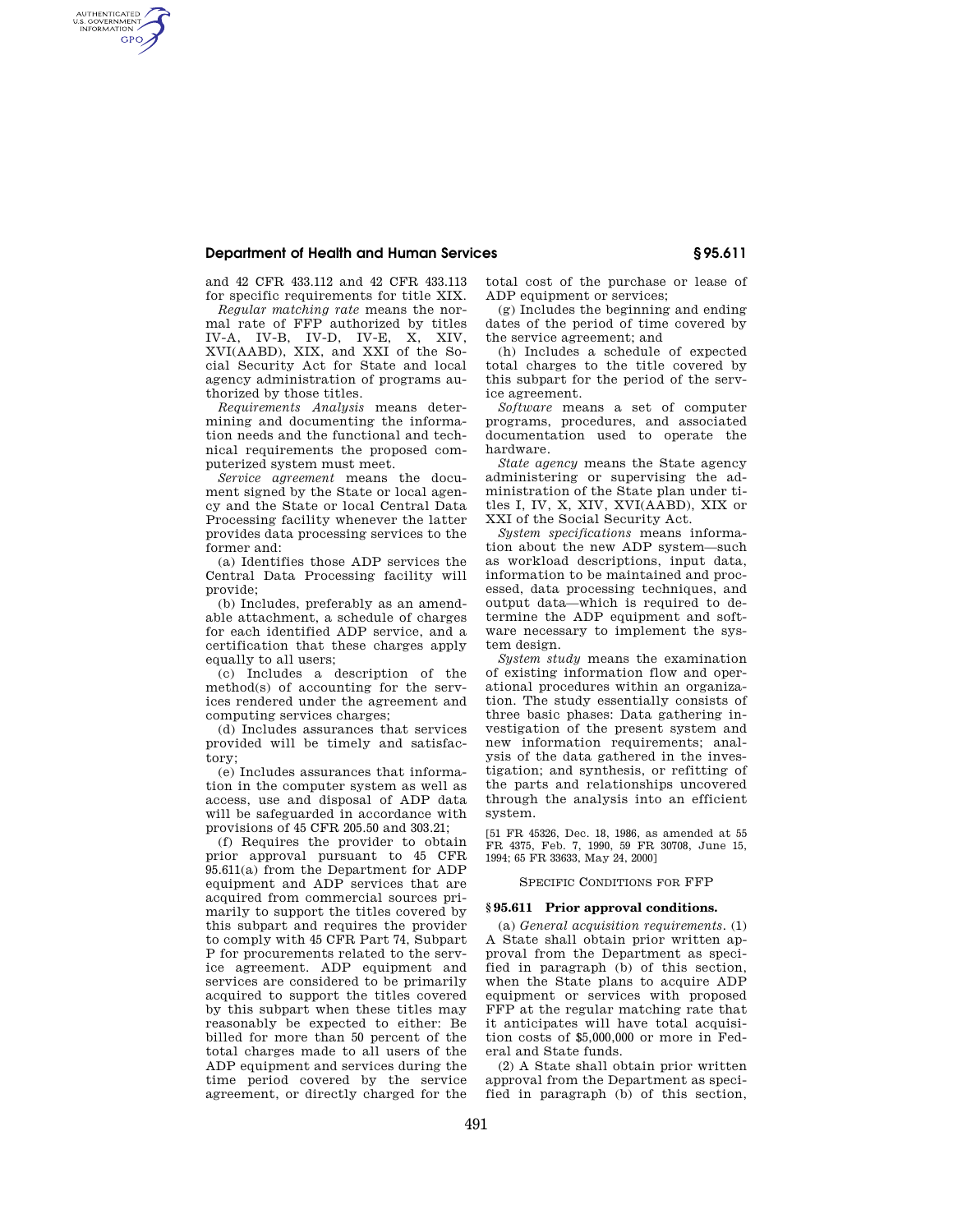# **Department of Health and Human Services § 95.611**

and 42 CFR 433.112 and 42 CFR 433.113 for specific requirements for title XIX.

AUTHENTICATED<br>U.S. GOVERNMENT<br>INFORMATION **GPO** 

> *Regular matching rate* means the normal rate of FFP authorized by titles IV-A, IV-B, IV-D, IV-E, X, XIV, XVI(AABD), XIX, and XXI of the Social Security Act for State and local agency administration of programs authorized by those titles.

> *Requirements Analysis* means determining and documenting the information needs and the functional and technical requirements the proposed computerized system must meet.

> *Service agreement* means the document signed by the State or local agency and the State or local Central Data Processing facility whenever the latter provides data processing services to the former and:

> (a) Identifies those ADP services the Central Data Processing facility will provide;

> (b) Includes, preferably as an amendable attachment, a schedule of charges for each identified ADP service, and a certification that these charges apply equally to all users;

> (c) Includes a description of the method(s) of accounting for the services rendered under the agreement and computing services charges;

> (d) Includes assurances that services provided will be timely and satisfactory;

> (e) Includes assurances that information in the computer system as well as access, use and disposal of ADP data will be safeguarded in accordance with provisions of 45 CFR 205.50 and 303.21;

> (f) Requires the provider to obtain prior approval pursuant to 45 CFR 95.611(a) from the Department for ADP equipment and ADP services that are acquired from commercial sources primarily to support the titles covered by this subpart and requires the provider to comply with 45 CFR Part 74, Subpart P for procurements related to the service agreement. ADP equipment and services are considered to be primarily acquired to support the titles covered by this subpart when these titles may reasonably be expected to either: Be billed for more than 50 percent of the total charges made to all users of the ADP equipment and services during the time period covered by the service agreement, or directly charged for the

total cost of the purchase or lease of ADP equipment or services;

(g) Includes the beginning and ending dates of the period of time covered by the service agreement; and

(h) Includes a schedule of expected total charges to the title covered by this subpart for the period of the service agreement.

*Software* means a set of computer programs, procedures, and associated documentation used to operate the hardware.

*State agency* means the State agency administering or supervising the administration of the State plan under titles I, IV, X, XIV, XVI(AABD), XIX or XXI of the Social Security Act.

*System specifications* means information about the new ADP system—such as workload descriptions, input data, information to be maintained and processed, data processing techniques, and output data—which is required to determine the ADP equipment and software necessary to implement the system design.

*System study* means the examination of existing information flow and operational procedures within an organization. The study essentially consists of three basic phases: Data gathering investigation of the present system and new information requirements; analysis of the data gathered in the investigation; and synthesis, or refitting of the parts and relationships uncovered through the analysis into an efficient system.

[51 FR 45326, Dec. 18, 1986, as amended at 55 FR 4375, Feb. 7, 1990, 59 FR 30708, June 15, 1994; 65 FR 33633, May 24, 2000]

# SPECIFIC CONDITIONS FOR FFP

# **§ 95.611 Prior approval conditions.**

(a) *General acquisition requirements.* (1) A State shall obtain prior written approval from the Department as specified in paragraph (b) of this section, when the State plans to acquire ADP equipment or services with proposed FFP at the regular matching rate that it anticipates will have total acquisition costs of \$5,000,000 or more in Federal and State funds.

(2) A State shall obtain prior written approval from the Department as specified in paragraph (b) of this section,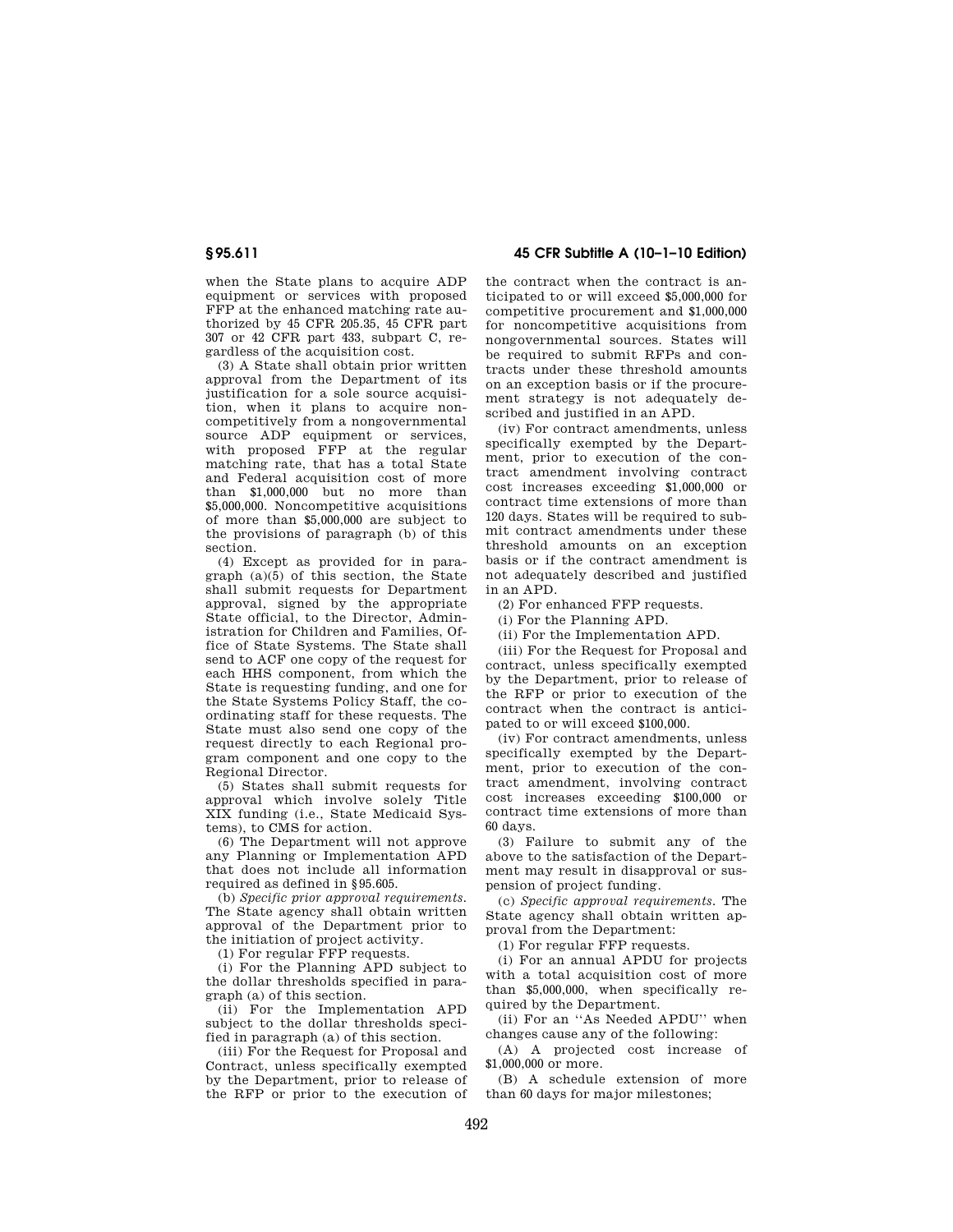when the State plans to acquire ADP equipment or services with proposed FFP at the enhanced matching rate authorized by 45 CFR 205.35, 45 CFR part 307 or 42 CFR part 433, subpart C, regardless of the acquisition cost.

(3) A State shall obtain prior written approval from the Department of its justification for a sole source acquisition, when it plans to acquire noncompetitively from a nongovernmental source ADP equipment or services, with proposed FFP at the regular matching rate, that has a total State and Federal acquisition cost of more than \$1,000,000 but no more than \$5,000,000. Noncompetitive acquisitions of more than \$5,000,000 are subject to the provisions of paragraph (b) of this section.

(4) Except as provided for in paragraph  $(a)(5)$  of this section, the State shall submit requests for Department approval, signed by the appropriate State official, to the Director, Administration for Children and Families, Office of State Systems. The State shall send to ACF one copy of the request for each HHS component, from which the State is requesting funding, and one for the State Systems Policy Staff, the coordinating staff for these requests. The State must also send one copy of the request directly to each Regional program component and one copy to the Regional Director.

(5) States shall submit requests for approval which involve solely Title XIX funding (i.e., State Medicaid Systems), to CMS for action.

(6) The Department will not approve any Planning or Implementation APD that does not include all information required as defined in §95.605.

(b) *Specific prior approval requirements.*  The State agency shall obtain written approval of the Department prior to the initiation of project activity.

(1) For regular FFP requests.

(i) For the Planning APD subject to the dollar thresholds specified in paragraph (a) of this section.

(ii) For the Implementation APD subject to the dollar thresholds specified in paragraph (a) of this section.

(iii) For the Request for Proposal and Contract, unless specifically exempted by the Department, prior to release of the RFP or prior to the execution of

**§ 95.611 45 CFR Subtitle A (10–1–10 Edition)** 

the contract when the contract is anticipated to or will exceed \$5,000,000 for competitive procurement and \$1,000,000 for noncompetitive acquisitions from nongovernmental sources. States will be required to submit RFPs and contracts under these threshold amounts on an exception basis or if the procurement strategy is not adequately described and justified in an APD.

(iv) For contract amendments, unless specifically exempted by the Department, prior to execution of the contract amendment involving contract cost increases exceeding \$1,000,000 or contract time extensions of more than 120 days. States will be required to submit contract amendments under these threshold amounts on an exception basis or if the contract amendment is not adequately described and justified in an APD.

(2) For enhanced FFP requests.

(i) For the Planning APD.

(ii) For the Implementation APD.

(iii) For the Request for Proposal and contract, unless specifically exempted by the Department, prior to release of the RFP or prior to execution of the contract when the contract is anticipated to or will exceed \$100,000.

(iv) For contract amendments, unless specifically exempted by the Department, prior to execution of the contract amendment, involving contract cost increases exceeding \$100,000 or contract time extensions of more than 60 days.

(3) Failure to submit any of the above to the satisfaction of the Department may result in disapproval or suspension of project funding.

(c) *Specific approval requirements.* The State agency shall obtain written approval from the Department:

(1) For regular FFP requests.

(i) For an annual APDU for projects with a total acquisition cost of more than \$5,000,000, when specifically required by the Department.

(ii) For an ''As Needed APDU'' when changes cause any of the following:

(A) A projected cost increase of \$1,000,000 or more.

(B) A schedule extension of more than 60 days for major milestones;